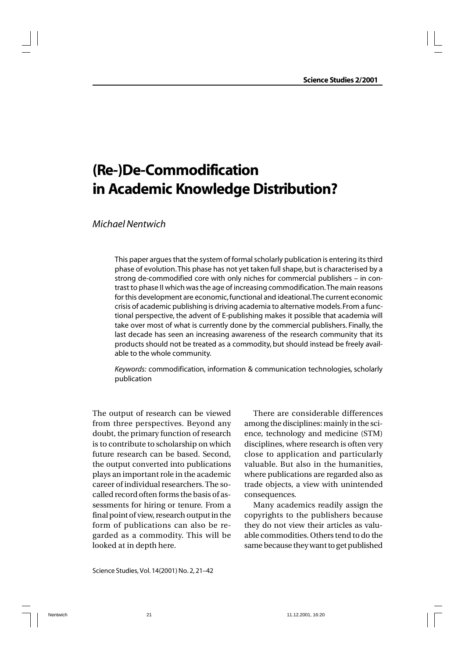# **(Re-)De-Commodification in Academic Knowledge Distribution?**

# *Michael Nentwich*

This paper argues that the system of formal scholarly publication is entering its third phase of evolution. This phase has not yet taken full shape, but is characterised by a strong de-commodified core with only niches for commercial publishers – in contrast to phase II which was the age of increasing commodification. The main reasons for this development are economic, functional and ideational. The current economic crisis of academic publishing is driving academia to alternative models. From a functional perspective, the advent of E-publishing makes it possible that academia will take over most of what is currently done by the commercial publishers. Finally, the last decade has seen an increasing awareness of the research community that its products should not be treated as a commodity, but should instead be freely available to the whole community.

*Keywords:* commodification, information & communication technologies, scholarly publication

The output of research can be viewed from three perspectives. Beyond any doubt, the primary function of research is to contribute to scholarship on which future research can be based. Second, the output converted into publications plays an important role in the academic career of individual researchers. The socalled record often forms the basis of assessments for hiring or tenure. From a final point of view, research output in the form of publications can also be regarded as a commodity. This will be looked at in depth here.

There are considerable differences among the disciplines: mainly in the science, technology and medicine (STM) disciplines, where research is often very close to application and particularly valuable. But also in the humanities, where publications are regarded also as trade objects, a view with unintended consequences.

Many academics readily assign the copyrights to the publishers because they do not view their articles as valuable commodities. Others tend to do the same because they want to get published

Science Studies, Vol. 14(2001) No. 2, 21–42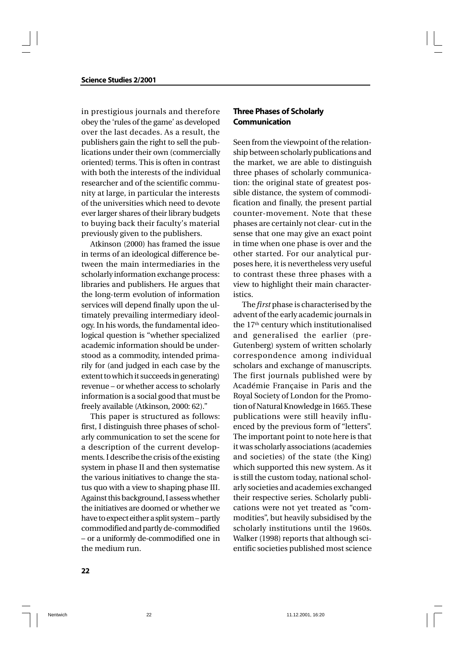in prestigious journals and therefore obey the 'rules of the game' as developed over the last decades. As a result, the publishers gain the right to sell the publications under their own (commercially oriented) terms. This is often in contrast with both the interests of the individual researcher and of the scientific community at large, in particular the interests of the universities which need to devote ever larger shares of their library budgets to buying back their faculty's material previously given to the publishers.

Atkinson (2000) has framed the issue in terms of an ideological difference between the main intermediaries in the scholarly information exchange process: libraries and publishers. He argues that the long-term evolution of information services will depend finally upon the ultimately prevailing intermediary ideology. In his words, the fundamental ideological question is "whether specialized academic information should be understood as a commodity, intended primarily for (and judged in each case by the extent to which it succeeds in generating) revenue – or whether access to scholarly information is a social good that must be freely available (Atkinson, 2000: 62)."

This paper is structured as follows: first, I distinguish three phases of scholarly communication to set the scene for a description of the current developments. I describe the crisis of the existing system in phase II and then systematise the various initiatives to change the status quo with a view to shaping phase III. Against this background, I assess whether the initiatives are doomed or whether we have to expect either a split system – partly commodified and partly de-commodified – or a uniformly de-commodified one in the medium run.

# **Three Phases of Scholarly Communication**

Seen from the viewpoint of the relationship between scholarly publications and the market, we are able to distinguish three phases of scholarly communication: the original state of greatest possible distance, the system of commodification and finally, the present partial counter-movement. Note that these phases are certainly not clear- cut in the sense that one may give an exact point in time when one phase is over and the other started. For our analytical purposes here, it is nevertheless very useful to contrast these three phases with a view to highlight their main characteristics.

The *first* phase is characterised by the advent of the early academic journals in the 17<sup>th</sup> century which institutionalised and generalised the earlier (pre-Gutenberg) system of written scholarly correspondence among individual scholars and exchange of manuscripts. The first journals published were by Académie Française in Paris and the Royal Society of London for the Promotion of Natural Knowledge in 1665. These publications were still heavily influenced by the previous form of "letters". The important point to note here is that it was scholarly associations (academies and societies) of the state (the King) which supported this new system. As it is still the custom today, national scholarly societies and academies exchanged their respective series. Scholarly publications were not yet treated as "commodities", but heavily subsidised by the scholarly institutions until the 1960s. Walker (1998) reports that although scientific societies published most science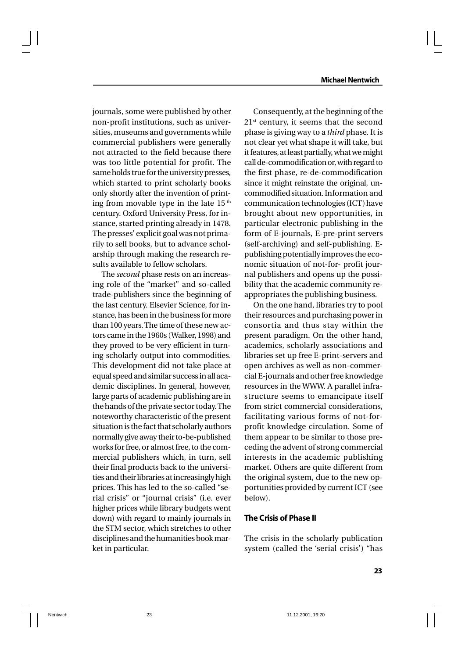journals, some were published by other non-profit institutions, such as universities, museums and governments while commercial publishers were generally not attracted to the field because there was too little potential for profit. The same holds true for the university presses, which started to print scholarly books only shortly after the invention of printing from movable type in the late  $15<sup>th</sup>$ century. Oxford University Press, for instance, started printing already in 1478. The presses' explicit goal was not primarily to sell books, but to advance scholarship through making the research results available to fellow scholars.

The *second* phase rests on an increasing role of the "market" and so-called trade-publishers since the beginning of the last century. Elsevier Science, for instance, has been in the business for more than 100 years. The time of these new actors came in the 1960s (Walker, 1998) and they proved to be very efficient in turning scholarly output into commodities. This development did not take place at equal speed and similar success in all academic disciplines. In general, however, large parts of academic publishing are in the hands of the private sector today. The noteworthy characteristic of the present situation is the fact that scholarly authors normally give away their to-be-published works for free, or almost free, to the commercial publishers which, in turn, sell their final products back to the universities and their libraries at increasingly high prices. This has led to the so-called "serial crisis" or "journal crisis" (i.e. ever higher prices while library budgets went down) with regard to mainly journals in the STM sector, which stretches to other disciplines and the humanities book market in particular.

Consequently, at the beginning of the  $21<sup>st</sup>$  century, it seems that the second phase is giving way to a *third* phase. It is not clear yet what shape it will take, but it features, at least partially, what we might call de-commodification or, with regard to the first phase, re-de-commodification since it might reinstate the original, uncommodified situation. Information and communication technologies (ICT) have brought about new opportunities, in particular electronic publishing in the form of E-journals, E-pre-print servers (self-archiving) and self-publishing. Epublishing potentially improves the economic situation of not-for- profit journal publishers and opens up the possibility that the academic community reappropriates the publishing business.

On the one hand, libraries try to pool their resources and purchasing power in consortia and thus stay within the present paradigm. On the other hand, academics, scholarly associations and libraries set up free E-print-servers and open archives as well as non-commercial E-journals and other free knowledge resources in the WWW. A parallel infrastructure seems to emancipate itself from strict commercial considerations, facilitating various forms of not-forprofit knowledge circulation. Some of them appear to be similar to those preceding the advent of strong commercial interests in the academic publishing market. Others are quite different from the original system, due to the new opportunities provided by current ICT (see below).

# **The Crisis of Phase II**

The crisis in the scholarly publication system (called the 'serial crisis') "has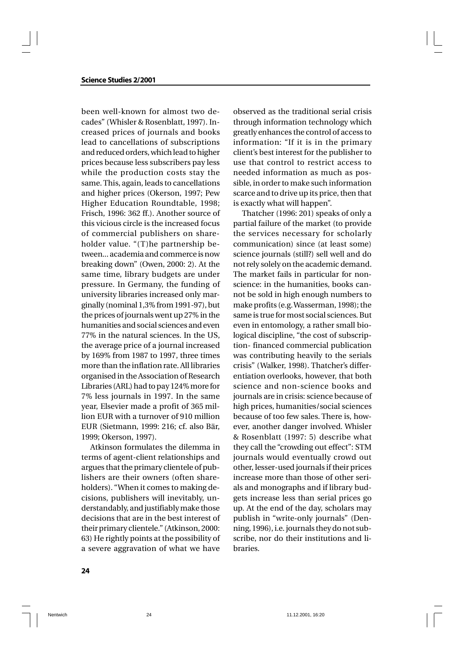### **Science Studies 2/2001**

been well-known for almost two decades" (Whisler & Rosenblatt, 1997). Increased prices of journals and books lead to cancellations of subscriptions and reduced orders, which lead to higher prices because less subscribers pay less while the production costs stay the same. This, again, leads to cancellations and higher prices (Okerson, 1997; Pew Higher Education Roundtable, 1998; Frisch, 1996: 362 ff.). Another source of this vicious circle is the increased focus of commercial publishers on shareholder value. "(T)he partnership between... academia and commerce is now breaking down" (Owen, 2000: 2). At the same time, library budgets are under pressure. In Germany, the funding of university libraries increased only marginally (nominal 1,3% from 1991-97), but the prices of journals went up 27% in the humanities and social sciences and even 77% in the natural sciences. In the US, the average price of a journal increased by 169% from 1987 to 1997, three times more than the inflation rate. All libraries organised in the Association of Research Libraries (ARL) had to pay 124% more for 7% less journals in 1997. In the same year, Elsevier made a profit of 365 million EUR with a turnover of 910 million EUR (Sietmann, 1999: 216; cf. also Bär, 1999; Okerson, 1997).

Atkinson formulates the dilemma in terms of agent-client relationships and argues that the primary clientele of publishers are their owners (often shareholders). "When it comes to making decisions, publishers will inevitably, understandably, and justifiably make those decisions that are in the best interest of their primary clientele." (Atkinson, 2000: 63) He rightly points at the possibility of a severe aggravation of what we have

observed as the traditional serial crisis through information technology which greatly enhances the control of access to information: "If it is in the primary client's best interest for the publisher to use that control to restrict access to needed information as much as possible, in order to make such information scarce and to drive up its price, then that is exactly what will happen".

Thatcher (1996: 201) speaks of only a partial failure of the market (to provide the services necessary for scholarly communication) since (at least some) science journals (still?) sell well and do not rely solely on the academic demand. The market fails in particular for nonscience: in the humanities, books cannot be sold in high enough numbers to make profits (e.g. Wasserman, 1998); the same is true for most social sciences. But even in entomology, a rather small biological discipline, "the cost of subscription- financed commercial publication was contributing heavily to the serials crisis" (Walker, 1998). Thatcher's differentiation overlooks, however, that both science and non-science books and journals are in crisis: science because of high prices, humanities/social sciences because of too few sales. There is, however, another danger involved. Whisler & Rosenblatt (1997: 5) describe what they call the "crowding out effect": STM journals would eventually crowd out other, lesser-used journals if their prices increase more than those of other serials and monographs and if library budgets increase less than serial prices go up. At the end of the day, scholars may publish in "write-only journals" (Denning, 1996), i.e. journals they do not subscribe, nor do their institutions and libraries.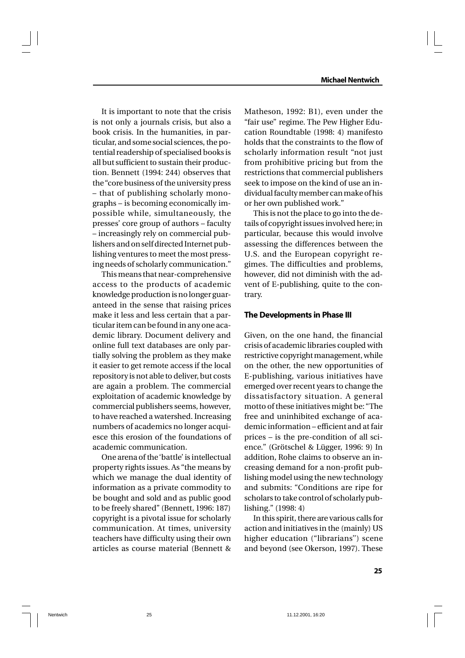It is important to note that the crisis is not only a journals crisis, but also a book crisis. In the humanities, in particular, and some social sciences, the potential readership of specialised books is all but sufficient to sustain their production. Bennett (1994: 244) observes that the "core business of the university press – that of publishing scholarly monographs – is becoming economically impossible while, simultaneously, the presses' core group of authors – faculty – increasingly rely on commercial publishers and on self directed Internet publishing ventures to meet the most pressing needs of scholarly communication."

This means that near-comprehensive access to the products of academic knowledge production is no longer guaranteed in the sense that raising prices make it less and less certain that a particular item can be found in any one academic library. Document delivery and online full text databases are only partially solving the problem as they make it easier to get remote access if the local repository is not able to deliver, but costs are again a problem. The commercial exploitation of academic knowledge by commercial publishers seems, however, to have reached a watershed. Increasing numbers of academics no longer acquiesce this erosion of the foundations of academic communication.

One arena of the 'battle' is intellectual property rights issues. As "the means by which we manage the dual identity of information as a private commodity to be bought and sold and as public good to be freely shared" (Bennett, 1996: 187) copyright is a pivotal issue for scholarly communication. At times, university teachers have difficulty using their own articles as course material (Bennett &

Matheson, 1992: B1), even under the "fair use" regime. The Pew Higher Education Roundtable (1998: 4) manifesto holds that the constraints to the flow of scholarly information result "not just from prohibitive pricing but from the restrictions that commercial publishers seek to impose on the kind of use an individual faculty member can make of his or her own published work."

This is not the place to go into the details of copyright issues involved here; in particular, because this would involve assessing the differences between the U.S. and the European copyright regimes. The difficulties and problems, however, did not diminish with the advent of E-publishing, quite to the contrary.

### **The Developments in Phase III**

Given, on the one hand, the financial crisis of academic libraries coupled with restrictive copyright management, while on the other, the new opportunities of E-publishing, various initiatives have emerged over recent years to change the dissatisfactory situation. A general motto of these initiatives might be: "The free and uninhibited exchange of academic information – efficient and at fair prices – is the pre-condition of all science." (Grötschel & Lügger, 1996: 9) In addition, Rohe claims to observe an increasing demand for a non-profit publishing model using the new technology and submits: "Conditions are ripe for scholars to take control of scholarly publishing." (1998: 4)

In this spirit, there are various calls for action and initiatives in the (mainly) US higher education ("librarians'') scene and beyond (see Okerson, 1997). These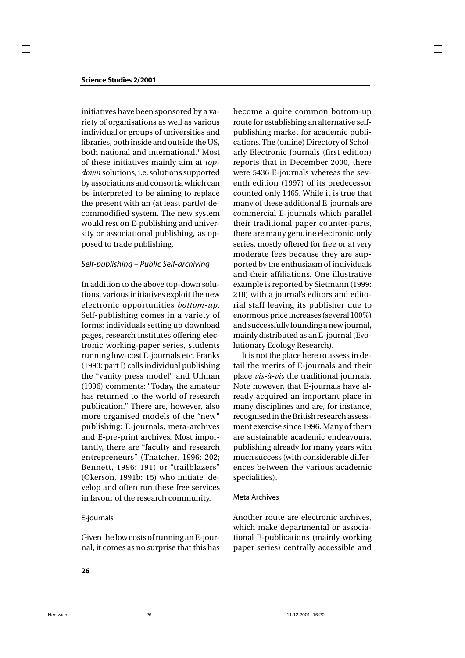initiatives have been sponsored by a variety of organisations as well as various individual or groups of universities and libraries, both inside and outside the US, both national and international.<sup>1</sup> Most of these initiatives mainly aim at *topdown* solutions, i.e. solutions supported by associations and consortia which can be interpreted to be aiming to replace the present with an (at least partly) decommodified system. The new system would rest on E-publishing and university or associational publishing, as opposed to trade publishing.

### *Self-publishing – Public Self-archiving*

In addition to the above top-down solutions, various initiatives exploit the new electronic opportunities *bottom-up*. Self-publishing comes in a variety of forms: individuals setting up download pages, research institutes offering electronic working-paper series, students running low-cost E-journals etc. Franks (1993: part I) calls individual publishing the "vanity press model" and Ullman (1996) comments: "Today, the amateur has returned to the world of research publication." There are, however, also more organised models of the "new" publishing: E-journals, meta-archives and E-pre-print archives. Most importantly, there are "faculty and research entrepreneurs" (Thatcher, 1996: 202; Bennett, 1996: 191) or "trailblazers" (Okerson, 1991b: 15) who initiate, develop and often run these free services in favour of the research community.

### E-journals

Given the low costs of running an E-journal, it comes as no surprise that this has

become a quite common bottom-up route for establishing an alternative selfpublishing market for academic publications. The (online) Directory of Scholarly Electronic Journals (first edition) reports that in December 2000, there were 5436 E-journals whereas the seventh edition (1997) of its predecessor counted only 1465. While it is true that many of these additional E-journals are commercial E-journals which parallel their traditional paper counter-parts, there are many genuine electronic-only series, mostly offered for free or at very moderate fees because they are supported by the enthusiasm of individuals and their affiliations. One illustrative example is reported by Sietmann (1999: 218) with a journal's editors and editorial staff leaving its publisher due to enormous price increases (several 100%) and successfully founding a new journal, mainly distributed as an E-journal (Evolutionary Ecology Research).

It is not the place here to assess in detail the merits of E-journals and their place *vis-à-vis* the traditional journals. Note however, that E-journals have already acquired an important place in many disciplines and are, for instance, recognised in the British research assessment exercise since 1996. Many of them are sustainable academic endeavours, publishing already for many years with much success (with considerable differences between the various academic specialities).

#### Meta Archives

Another route are electronic archives, which make departmental or associational E-publications (mainly working paper series) centrally accessible and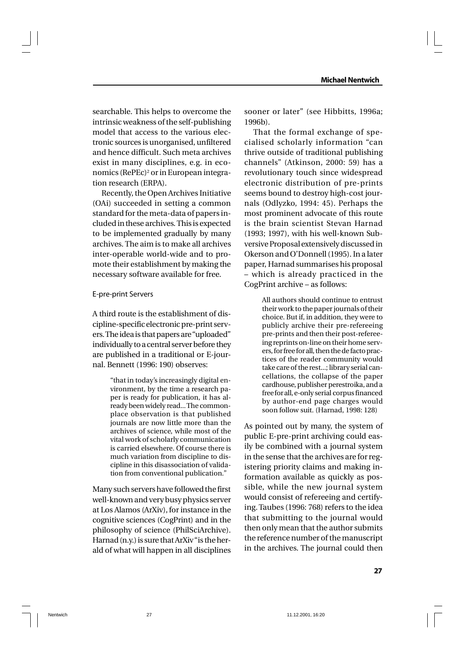searchable. This helps to overcome the intrinsic weakness of the self-publishing model that access to the various electronic sources is unorganised, unfiltered and hence difficult. Such meta archives exist in many disciplines, e.g. in economics (RePEc)<sup>2</sup> or in European integration research (ERPA).

Recently, the Open Archives Initiative (OAi) succeeded in setting a common standard for the meta-data of papers included in these archives. This is expected to be implemented gradually by many archives. The aim is to make all archives inter-operable world-wide and to promote their establishment by making the necessary software available for free.

### E-pre-print Servers

A third route is the establishment of discipline-specific electronic pre-print servers. The idea is that papers are "uploaded" individually to a central server before they are published in a traditional or E-journal. Bennett (1996: 190) observes:

> "that in today's increasingly digital environment, by the time a research paper is ready for publication, it has already been widely read... The commonplace observation is that published journals are now little more than the archives of science, while most of the vital work of scholarly communication is carried elsewhere. Of course there is much variation from discipline to discipline in this disassociation of validation from conventional publication."

Many such servers have followed the first well-known and very busy physics server at Los Alamos (ArXiv), for instance in the cognitive sciences (CogPrint) and in the philosophy of science (PhilSciArchive). Harnad (n.y.) is sure that ArXiv "is the herald of what will happen in all disciplines sooner or later" (see Hibbitts, 1996a; 1996b).

That the formal exchange of specialised scholarly information "can thrive outside of traditional publishing channels" (Atkinson, 2000: 59) has a revolutionary touch since widespread electronic distribution of pre-prints seems bound to destroy high-cost journals (Odlyzko, 1994: 45). Perhaps the most prominent advocate of this route is the brain scientist Stevan Harnad (1993; 1997), with his well-known Subversive Proposal extensively discussed in Okerson and O'Donnell (1995). In a later paper, Harnad summarises his proposal – which is already practiced in the CogPrint archive – as follows:

> All authors should continue to entrust their work to the paper journals of their choice. But if, in addition, they were to publicly archive their pre-refereeing pre-prints and then their post-refereeing reprints on-line on their home servers, for free for all, then the de facto practices of the reader community would take care of the rest...; library serial cancellations, the collapse of the paper cardhouse, publisher perestroika, and a free for all, e-only serial corpus financed by author-end page charges would soon follow suit. (Harnad, 1998: 128)

As pointed out by many, the system of public E-pre-print archiving could easily be combined with a journal system in the sense that the archives are for registering priority claims and making information available as quickly as possible, while the new journal system would consist of refereeing and certifying. Taubes (1996: 768) refers to the idea that submitting to the journal would then only mean that the author submits the reference number of the manuscript in the archives. The journal could then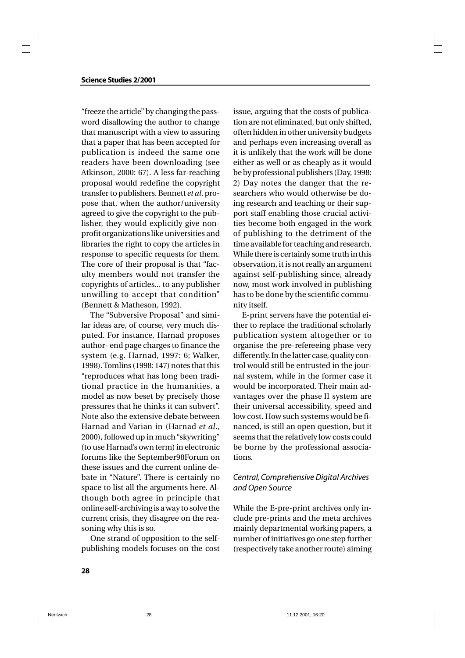### **Science Studies 2/2001**

"freeze the article" by changing the password disallowing the author to change that manuscript with a view to assuring that a paper that has been accepted for publication is indeed the same one readers have been downloading (see Atkinson, 2000: 67). A less far-reaching proposal would redefine the copyright transfer to publishers. Bennett *et al*. propose that, when the author/university agreed to give the copyright to the publisher, they would explicitly give nonprofit organizations like universities and libraries the right to copy the articles in response to specific requests for them. The core of their proposal is that "faculty members would not transfer the copyrights of articles... to any publisher unwilling to accept that condition" (Bennett & Matheson, 1992).

The "Subversive Proposal" and similar ideas are, of course, very much disputed. For instance, Harnad proposes author- end page charges to finance the system (e.g. Harnad, 1997: 6; Walker, 1998). Tomlins (1998: 147) notes that this "reproduces what has long been traditional practice in the humanities, a model as now beset by precisely those pressures that he thinks it can subvert". Note also the extensive debate between Harnad and Varian in (Harnad *et al*., 2000), followed up in much "skywriting" (to use Harnad's own term) in electronic forums like the September98Forum on these issues and the current online debate in "Nature". There is certainly no space to list all the arguments here. Although both agree in principle that online self-archiving is a way to solve the current crisis, they disagree on the reasoning why this is so.

One strand of opposition to the selfpublishing models focuses on the cost

issue, arguing that the costs of publication are not eliminated, but only shifted, often hidden in other university budgets and perhaps even increasing overall as it is unlikely that the work will be done either as well or as cheaply as it would be by professional publishers (Day, 1998: 2) Day notes the danger that the researchers who would otherwise be doing research and teaching or their support staff enabling those crucial activities become both engaged in the work of publishing to the detriment of the time available for teaching and research. While there is certainly some truth in this observation, it is not really an argument against self-publishing since, already now, most work involved in publishing has to be done by the scientific community itself.

E-print servers have the potential either to replace the traditional scholarly publication system altogether or to organise the pre-refereeing phase very differently. In the latter case, quality control would still be entrusted in the journal system, while in the former case it would be incorporated. Their main advantages over the phase II system are their universal accessibility, speed and low cost. How such systems would be financed, is still an open question, but it seems that the relatively low costs could be borne by the professional associations.

# *Central, Comprehensive Digital Archives and Open Source*

While the E-pre-print archives only include pre-prints and the meta archives mainly departmental working papers, a number of initiatives go one step further (respectively take another route) aiming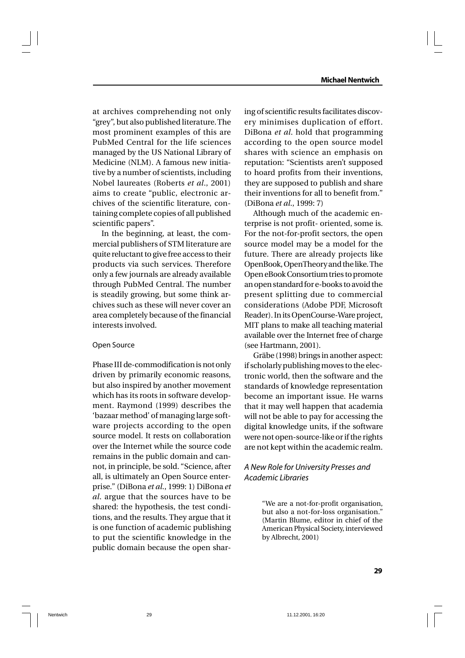at archives comprehending not only "grey", but also published literature. The most prominent examples of this are PubMed Central for the life sciences managed by the US National Library of Medicine (NLM). A famous new initiative by a number of scientists, including Nobel laureates (Roberts *et al*., 2001) aims to create "public, electronic archives of the scientific literature, containing complete copies of all published scientific papers".

In the beginning, at least, the commercial publishers of STM literature are quite reluctant to give free access to their products via such services. Therefore only a few journals are already available through PubMed Central. The number is steadily growing, but some think archives such as these will never cover an area completely because of the financial interests involved.

### Open Source

Phase III de-commodification is not only driven by primarily economic reasons, but also inspired by another movement which has its roots in software development. Raymond (1999) describes the 'bazaar method' of managing large software projects according to the open source model. It rests on collaboration over the Internet while the source code remains in the public domain and cannot, in principle, be sold. "Science, after all, is ultimately an Open Source enterprise." (DiBona *et al*., 1999: 1) DiBona *et al*. argue that the sources have to be shared: the hypothesis, the test conditions, and the results. They argue that it is one function of academic publishing to put the scientific knowledge in the public domain because the open shar-

ing of scientific results facilitates discovery minimises duplication of effort. DiBona *et al*. hold that programming according to the open source model shares with science an emphasis on reputation: "Scientists aren't supposed to hoard profits from their inventions, they are supposed to publish and share their inventions for all to benefit from." (DiBona *et al*., 1999: 7)

Although much of the academic enterprise is not profit- oriented, some is. For the not-for-profit sectors, the open source model may be a model for the future. There are already projects like OpenBook, OpenTheory and the like. The Open eBook Consortium tries to promote an open standard for e-books to avoid the present splitting due to commercial considerations (Adobe PDF, Microsoft Reader). In its OpenCourse-Ware project, MIT plans to make all teaching material available over the Internet free of charge (see Hartmann, 2001).

Gräbe (1998) brings in another aspect: if scholarly publishing moves to the electronic world, then the software and the standards of knowledge representation become an important issue. He warns that it may well happen that academia will not be able to pay for accessing the digital knowledge units, if the software were not open-source-like or if the rights are not kept within the academic realm.

# *A New Role for University Presses and Academic Libraries*

"We are a not-for-profit organisation, but also a not-for-loss organisation." (Martin Blume, editor in chief of the American Physical Society, interviewed by Albrecht, 2001)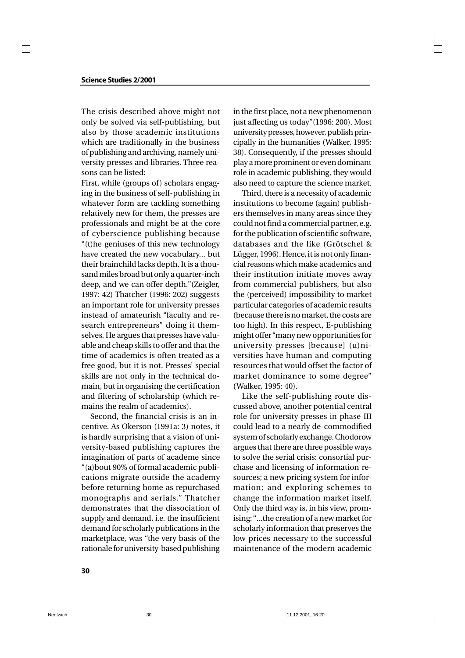The crisis described above might not only be solved via self-publishing, but also by those academic institutions which are traditionally in the business of publishing and archiving, namely university presses and libraries. Three reasons can be listed:

First, while (groups of) scholars engaging in the business of self-publishing in whatever form are tackling something relatively new for them, the presses are professionals and might be at the core of cyberscience publishing because "(t)he geniuses of this new technology have created the new vocabulary... but their brainchild lacks depth. It is a thousand miles broad but only a quarter-inch deep, and we can offer depth."(Zeigler, 1997: 42) Thatcher (1996: 202) suggests an important role for university presses instead of amateurish "faculty and research entrepreneurs" doing it themselves. He argues that presses have valuable and cheap skills to offer and that the time of academics is often treated as a free good, but it is not. Presses' special skills are not only in the technical domain, but in organising the certification and filtering of scholarship (which remains the realm of academics).

Second, the financial crisis is an incentive. As Okerson (1991a: 3) notes, it is hardly surprising that a vision of university-based publishing captures the imagination of parts of academe since "(a)bout 90% of formal academic publications migrate outside the academy before returning home as repurchased monographs and serials." Thatcher demonstrates that the dissociation of supply and demand, i.e. the insufficient demand for scholarly publications in the marketplace, was "the very basis of the rationale for university-based publishing

in the first place, not a new phenomenon just affecting us today"(1996: 200). Most university presses, however, publish principally in the humanities (Walker, 1995: 38). Consequently, if the presses should play a more prominent or even dominant role in academic publishing, they would also need to capture the science market.

Third, there is a necessity of academic institutions to become (again) publishers themselves in many areas since they could not find a commercial partner, e.g. for the publication of scientific software, databases and the like (Grötschel & Lügger, 1996). Hence, it is not only financial reasons which make academics and their institution initiate moves away from commercial publishers, but also the (perceived) impossibility to market particular categories of academic results (because there is no market, the costs are too high). In this respect, E-publishing might offer "many new opportunities for university presses [because] (u)niversities have human and computing resources that would offset the factor of market dominance to some degree" (Walker, 1995: 40).

Like the self-publishing route discussed above, another potential central role for university presses in phase III could lead to a nearly de-commodified system of scholarly exchange. Chodorow argues that there are three possible ways to solve the serial crisis: consortial purchase and licensing of information resources; a new pricing system for information; and exploring schemes to change the information market itself. Only the third way is, in his view, promising: "...the creation of a new market for scholarly information that preserves the low prices necessary to the successful maintenance of the modern academic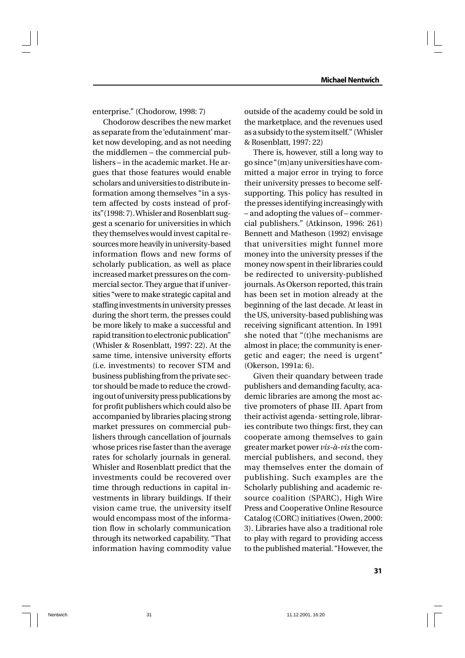enterprise." (Chodorow, 1998: 7)

 Chodorow describes the new market as separate from the 'edutainment' market now developing, and as not needing the middlemen – the commercial publishers – in the academic market. He argues that those features would enable scholars and universities to distribute information among themselves "in a system affected by costs instead of profits"(1998: 7). Whisler and Rosenblatt suggest a scenario for universities in which they themselves would invest capital resources more heavily in university-based information flows and new forms of scholarly publication, as well as place increased market pressures on the commercial sector. They argue that if universities "were to make strategic capital and staffing investments in university presses during the short term, the presses could be more likely to make a successful and rapid transition to electronic publication" (Whisler & Rosenblatt, 1997: 22). At the same time, intensive university efforts (i.e. investments) to recover STM and business publishing from the private sector should be made to reduce the crowding out of university press publications by for profit publishers which could also be accompanied by libraries placing strong market pressures on commercial publishers through cancellation of journals whose prices rise faster than the average rates for scholarly journals in general. Whisler and Rosenblatt predict that the investments could be recovered over time through reductions in capital investments in library buildings. If their vision came true, the university itself would encompass most of the information flow in scholarly communication through its networked capability. "That information having commodity value

outside of the academy could be sold in the marketplace, and the revenues used as a subsidy to the system itself." (Whisler & Rosenblatt, 1997: 22)

There is, however, still a long way to go since "(m)any universities have committed a major error in trying to force their university presses to become selfsupporting. This policy has resulted in the presses identifying increasingly with – and adopting the values of – commercial publishers." (Atkinson, 1996: 261) Bennett and Matheson (1992) envisage that universities might funnel more money into the university presses if the money now spent in their libraries could be redirected to university-published journals. As Okerson reported, this train has been set in motion already at the beginning of the last decade. At least in the US, university-based publishing was receiving significant attention. In 1991 she noted that "(t)he mechanisms are almost in place; the community is energetic and eager; the need is urgent" (Okerson, 1991a: 6).

Given their quandary between trade publishers and demanding faculty, academic libraries are among the most active promoters of phase III. Apart from their activist agenda- setting role, libraries contribute two things: first, they can cooperate among themselves to gain greater market power *vis-à-vis* the commercial publishers, and second, they may themselves enter the domain of publishing. Such examples are the Scholarly publishing and academic resource coalition (SPARC), High Wire Press and Cooperative Online Resource Catalog (CORC) initiatives (Owen, 2000: 3). Libraries have also a traditional role to play with regard to providing access to the published material. "However, the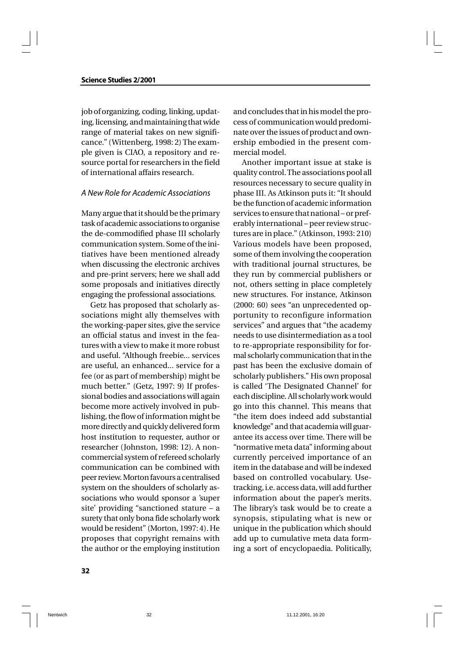job of organizing, coding, linking, updating, licensing, and maintaining that wide range of material takes on new significance." (Wittenberg, 1998: 2) The example given is CIAO, a repository and resource portal for researchers in the field of international affairs research.

### *A New Role for Academic Associations*

Many argue that it should be the primary task of academic associations to organise the de-commodified phase III scholarly communication system. Some of the initiatives have been mentioned already when discussing the electronic archives and pre-print servers; here we shall add some proposals and initiatives directly engaging the professional associations.

Getz has proposed that scholarly associations might ally themselves with the working-paper sites, give the service an official status and invest in the features with a view to make it more robust and useful. "Although freebie... services are useful, an enhanced... service for a fee (or as part of membership) might be much better." (Getz, 1997: 9) If professional bodies and associations will again become more actively involved in publishing, the flow of information might be more directly and quickly delivered form host institution to requester, author or researcher (Johnston, 1998: 12). A noncommercial system of refereed scholarly communication can be combined with peer review. Morton favours a centralised system on the shoulders of scholarly associations who would sponsor a 'super site' providing "sanctioned stature – a surety that only bona fide scholarly work would be resident" (Morton, 1997: 4). He proposes that copyright remains with the author or the employing institution

and concludes that in his model the process of communication would predominate over the issues of product and ownership embodied in the present commercial model.

Another important issue at stake is quality control. The associations pool all resources necessary to secure quality in phase III. As Atkinson puts it: "It should be the function of academic information services to ensure that national – or preferably international – peer review structures are in place." (Atkinson, 1993: 210) Various models have been proposed, some of them involving the cooperation with traditional journal structures, be they run by commercial publishers or not, others setting in place completely new structures. For instance, Atkinson (2000: 60) sees "an unprecedented opportunity to reconfigure information services" and argues that "the academy needs to use disintermediation as a tool to re-appropriate responsibility for formal scholarly communication that in the past has been the exclusive domain of scholarly publishers." His own proposal is called 'The Designated Channel' for each discipline. All scholarly work would go into this channel. This means that "the item does indeed add substantial knowledge" and that academia will guarantee its access over time. There will be "normative meta data" informing about currently perceived importance of an item in the database and will be indexed based on controlled vocabulary. Usetracking, i.e. access data, will add further information about the paper's merits. The library's task would be to create a synopsis, stipulating what is new or unique in the publication which should add up to cumulative meta data forming a sort of encyclopaedia. Politically,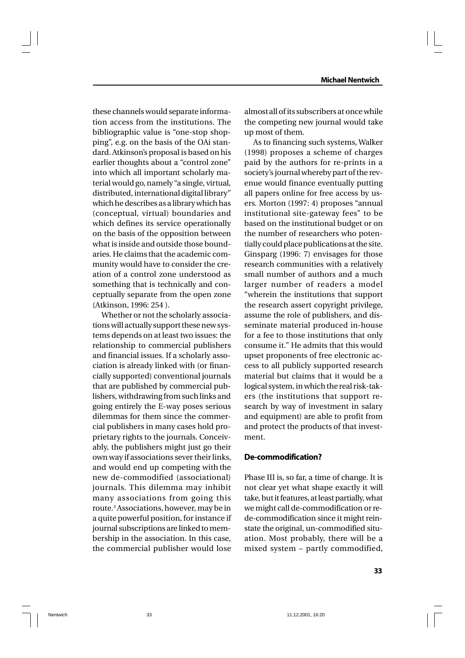these channels would separate information access from the institutions. The bibliographic value is "one-stop shopping", e.g. on the basis of the OAi standard. Atkinson's proposal is based on his earlier thoughts about a "control zone" into which all important scholarly material would go, namely "a single, virtual, distributed, international digital library" which he describes as a library which has (conceptual, virtual) boundaries and which defines its service operationally on the basis of the opposition between what is inside and outside those boundaries. He claims that the academic community would have to consider the creation of a control zone understood as something that is technically and conceptually separate from the open zone (Atkinson, 1996: 254 ).

Whether or not the scholarly associations will actually support these new systems depends on at least two issues: the relationship to commercial publishers and financial issues. If a scholarly association is already linked with (or financially supported) conventional journals that are published by commercial publishers, withdrawing from such links and going entirely the E-way poses serious dilemmas for them since the commercial publishers in many cases hold proprietary rights to the journals. Conceivably, the publishers might just go their own way if associations sever their links, and would end up competing with the new de-commodified (associational) journals. This dilemma may inhibit many associations from going this route.<sup>3</sup> Associations, however, may be in a quite powerful position, for instance if journal subscriptions are linked to membership in the association. In this case, the commercial publisher would lose

almost all of its subscribers at once while the competing new journal would take up most of them.

As to financing such systems, Walker (1998) proposes a scheme of charges paid by the authors for re-prints in a society's journal whereby part of the revenue would finance eventually putting all papers online for free access by users. Morton (1997: 4) proposes "annual institutional site-gateway fees" to be based on the institutional budget or on the number of researchers who potentially could place publications at the site. Ginsparg (1996: 7) envisages for those research communities with a relatively small number of authors and a much larger number of readers a model "wherein the institutions that support the research assert copyright privilege, assume the role of publishers, and disseminate material produced in-house for a fee to those institutions that only consume it." He admits that this would upset proponents of free electronic access to all publicly supported research material but claims that it would be a logical system, in which the real risk-takers (the institutions that support research by way of investment in salary and equipment) are able to profit from and protect the products of that investment.

### **De-commodification?**

Phase III is, so far, a time of change. It is not clear yet what shape exactly it will take, but it features, at least partially, what we might call de-commodification or rede-commodification since it might reinstate the original, un-commodified situation. Most probably, there will be a mixed system – partly commodified,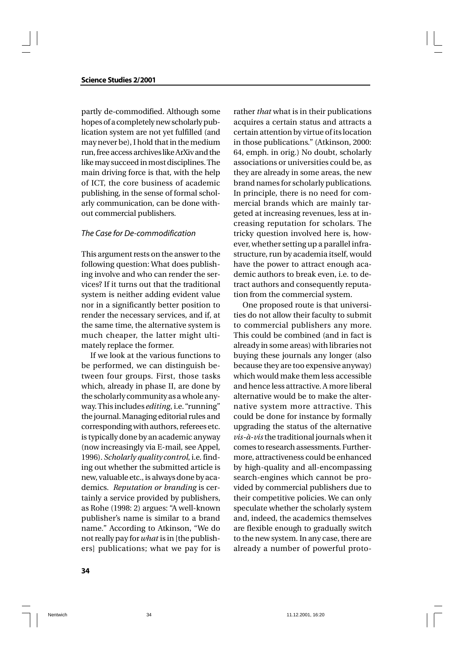partly de-commodified. Although some hopes of a completely new scholarly publication system are not yet fulfilled (and may never be), I hold that in the medium run, free access archives like ArXiv and the like may succeed in most disciplines. The main driving force is that, with the help of ICT, the core business of academic publishing, in the sense of formal scholarly communication, can be done without commercial publishers.

### *The Case for De-commodification*

This argument rests on the answer to the following question: What does publishing involve and who can render the services? If it turns out that the traditional system is neither adding evident value nor in a significantly better position to render the necessary services, and if, at the same time, the alternative system is much cheaper, the latter might ultimately replace the former.

If we look at the various functions to be performed, we can distinguish between four groups. First, those tasks which, already in phase II, are done by the scholarly community as a whole anyway. This includes *editing*, i.e. "running" the journal. Managing editorial rules and corresponding with authors, referees etc. is typically done by an academic anyway (now increasingly via E-mail, see Appel, 1996). *Scholarly quality control*, i.e. finding out whether the submitted article is new, valuable etc., is always done by academics. *Reputation or branding* is certainly a service provided by publishers, as Rohe (1998: 2) argues: "A well-known publisher's name is similar to a brand name." According to Atkinson, "We do not really pay for *what* is in [the publishers] publications; what we pay for is

rather *that* what is in their publications acquires a certain status and attracts a certain attention by virtue of its location in those publications." (Atkinson, 2000: 64, emph. in orig.) No doubt, scholarly associations or universities could be, as they are already in some areas, the new brand names for scholarly publications. In principle, there is no need for commercial brands which are mainly targeted at increasing revenues, less at increasing reputation for scholars. The tricky question involved here is, however, whether setting up a parallel infrastructure, run by academia itself, would have the power to attract enough academic authors to break even, i.e. to detract authors and consequently reputation from the commercial system.

One proposed route is that universities do not allow their faculty to submit to commercial publishers any more. This could be combined (and in fact is already in some areas) with libraries not buying these journals any longer (also because they are too expensive anyway) which would make them less accessible and hence less attractive. A more liberal alternative would be to make the alternative system more attractive. This could be done for instance by formally upgrading the status of the alternative *vis-à-vis* the traditional journals when it comes to research assessments. Furthermore, attractiveness could be enhanced by high-quality and all-encompassing search-engines which cannot be provided by commercial publishers due to their competitive policies. We can only speculate whether the scholarly system and, indeed, the academics themselves are flexible enough to gradually switch to the new system. In any case, there are already a number of powerful proto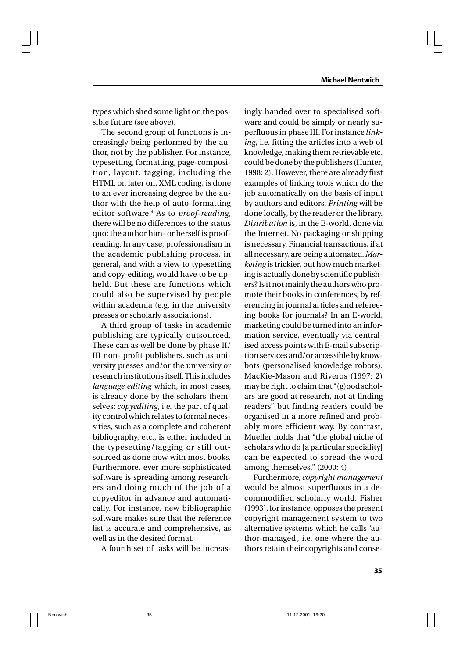types which shed some light on the possible future (see above).

The second group of functions is increasingly being performed by the author, not by the publisher. For instance, typesetting, formatting, page-composition, layout, tagging, including the HTML or, later on, XML coding, is done to an ever increasing degree by the author with the help of auto-formatting editor software.<sup>4</sup> As to *proof-reading*, there will be no differences to the status quo: the author him- or herself is proofreading. In any case, professionalism in the academic publishing process, in general, and with a view to typesetting and copy-editing, would have to be upheld. But these are functions which could also be supervised by people within academia (e.g. in the university presses or scholarly associations).

A third group of tasks in academic publishing are typically outsourced. These can as well be done by phase II/ III non- profit publishers, such as university presses and/or the university or research institutions itself. This includes *language editing* which, in most cases, is already done by the scholars themselves; *copyediting*, i.e. the part of quality control which relates to formal necessities, such as a complete and coherent bibliography, etc., is either included in the typesetting/tagging or still outsourced as done now with most books. Furthermore, ever more sophisticated software is spreading among researchers and doing much of the job of a copyeditor in advance and automatically. For instance, new bibliographic software makes sure that the reference list is accurate and comprehensive, as well as in the desired format.

A fourth set of tasks will be increas-

ingly handed over to specialised software and could be simply or nearly superfluous in phase III. For instance *linking*, i.e. fitting the articles into a web of knowledge, making them retrievable etc. could be done by the publishers (Hunter, 1998: 2). However, there are already first examples of linking tools which do the job automatically on the basis of input by authors and editors. *Printing* will be done locally, by the reader or the library. *Distribution* is, in the E-world, done via the Internet. No packaging or shipping is necessary. Financial transactions, if at all necessary, are being automated. *Marketing* is trickier, but how much marketing is actually done by scientific publishers? Is it not mainly the authors who promote their books in conferences, by referencing in journal articles and refereeing books for journals? In an E-world, marketing could be turned into an information service, eventually via centralised access points with E-mail subscription services and/or accessible by knowbots (personalised knowledge robots). MacKie-Mason and Riveros (1997: 2) may be right to claim that "(g)ood scholars are good at research, not at finding readers" but finding readers could be organised in a more refined and probably more efficient way. By contrast, Mueller holds that "the global niche of scholars who do [a particular speciality] can be expected to spread the word among themselves." (2000: 4)

Furthermore, *copyright management* would be almost superfluous in a decommodified scholarly world. Fisher (1993), for instance, opposes the present copyright management system to two alternative systems which he calls 'author-managed', i.e. one where the authors retain their copyrights and conse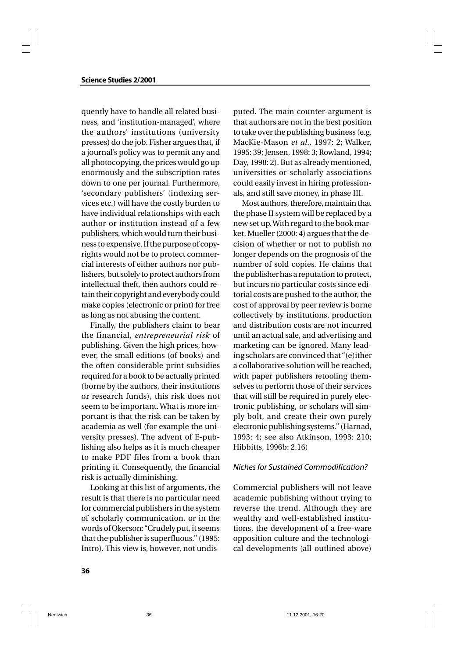quently have to handle all related business, and 'institution-managed', where the authors' institutions (university presses) do the job. Fisher argues that, if a journal's policy was to permit any and all photocopying, the prices would go up enormously and the subscription rates down to one per journal. Furthermore, 'secondary publishers' (indexing services etc.) will have the costly burden to have individual relationships with each author or institution instead of a few publishers, which would turn their business to expensive. If the purpose of copyrights would not be to protect commercial interests of either authors nor publishers, but solely to protect authors from intellectual theft, then authors could retain their copyright and everybody could make copies (electronic or print) for free as long as not abusing the content.

Finally, the publishers claim to bear the financial, *entrepreneurial risk* of publishing. Given the high prices, however, the small editions (of books) and the often considerable print subsidies required for a book to be actually printed (borne by the authors, their institutions or research funds), this risk does not seem to be important. What is more important is that the risk can be taken by academia as well (for example the university presses). The advent of E-publishing also helps as it is much cheaper to make PDF files from a book than printing it. Consequently, the financial risk is actually diminishing.

Looking at this list of arguments, the result is that there is no particular need for commercial publishers in the system of scholarly communication, or in the words of Okerson: "Crudely put, it seems that the publisher is superfluous." (1995: Intro). This view is, however, not undisputed. The main counter-argument is that authors are not in the best position to take over the publishing business (e.g. MacKie-Mason *et al*., 1997: 2; Walker, 1995: 39; Jensen, 1998: 3; Rowland, 1994; Day, 1998: 2). But as already mentioned, universities or scholarly associations could easily invest in hiring professionals, and still save money, in phase III.

Most authors, therefore, maintain that the phase II system will be replaced by a new set up. With regard to the book market, Mueller (2000: 4) argues that the decision of whether or not to publish no longer depends on the prognosis of the number of sold copies. He claims that the publisher has a reputation to protect, but incurs no particular costs since editorial costs are pushed to the author, the cost of approval by peer review is borne collectively by institutions, production and distribution costs are not incurred until an actual sale, and advertising and marketing can be ignored. Many leading scholars are convinced that "(e)ither a collaborative solution will be reached, with paper publishers retooling themselves to perform those of their services that will still be required in purely electronic publishing, or scholars will simply bolt, and create their own purely electronic publishing systems." (Harnad, 1993: 4; see also Atkinson, 1993: 210; Hibbitts, 1996b: 2.16)

### *Niches for Sustained Commodification?*

Commercial publishers will not leave academic publishing without trying to reverse the trend. Although they are wealthy and well-established institutions, the development of a free-ware opposition culture and the technological developments (all outlined above)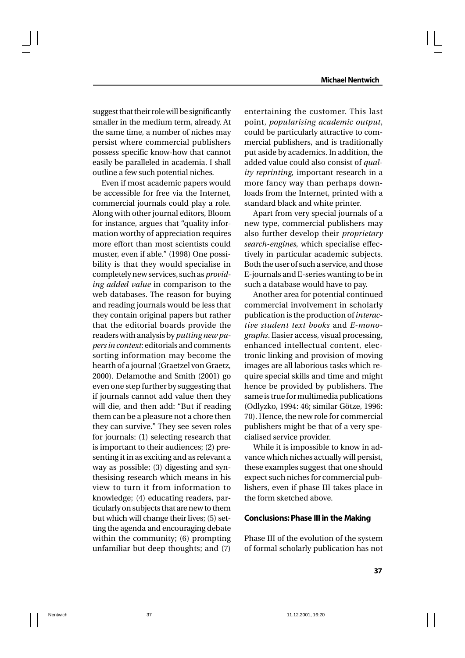suggest that their role will be significantly smaller in the medium term, already. At the same time, a number of niches may persist where commercial publishers possess specific know-how that cannot easily be paralleled in academia. I shall outline a few such potential niches.

Even if most academic papers would be accessible for free via the Internet, commercial journals could play a role. Along with other journal editors, Bloom for instance, argues that "quality information worthy of appreciation requires more effort than most scientists could muster, even if able." (1998) One possibility is that they would specialise in completely new services, such as *providing added value* in comparison to the web databases. The reason for buying and reading journals would be less that they contain original papers but rather that the editorial boards provide the readers with analysis by *putting new papers in context*: editorials and comments sorting information may become the hearth of a journal (Graetzel von Graetz, 2000). Delamothe and Smith (2001) go even one step further by suggesting that if journals cannot add value then they will die, and then add: "But if reading them can be a pleasure not a chore then they can survive." They see seven roles for journals: (1) selecting research that is important to their audiences; (2) presenting it in as exciting and as relevant a way as possible; (3) digesting and synthesising research which means in his view to turn it from information to knowledge; (4) educating readers, particularly on subjects that are new to them but which will change their lives; (5) setting the agenda and encouraging debate within the community; (6) prompting unfamiliar but deep thoughts; and (7)

entertaining the customer. This last point, *popularising academic output*, could be particularly attractive to commercial publishers, and is traditionally put aside by academics. In addition, the added value could also consist of *quality reprinting,* important research in a more fancy way than perhaps downloads from the Internet, printed with a standard black and white printer.

Apart from very special journals of a new type, commercial publishers may also further develop their *proprietary search-engines*, which specialise effectively in particular academic subjects. Both the user of such a service, and those E-journals and E-series wanting to be in such a database would have to pay.

Another area for potential continued commercial involvement in scholarly publication is the production of *interactive student text books* and *E-monographs*. Easier access, visual processing, enhanced intellectual content, electronic linking and provision of moving images are all laborious tasks which require special skills and time and might hence be provided by publishers. The same is true for multimedia publications (Odlyzko, 1994: 46; similar Götze, 1996: 70). Hence, the new role for commercial publishers might be that of a very specialised service provider.

While it is impossible to know in advance which niches actually will persist, these examples suggest that one should expect such niches for commercial publishers, even if phase III takes place in the form sketched above.

### **Conclusions: Phase III in the Making**

Phase III of the evolution of the system of formal scholarly publication has not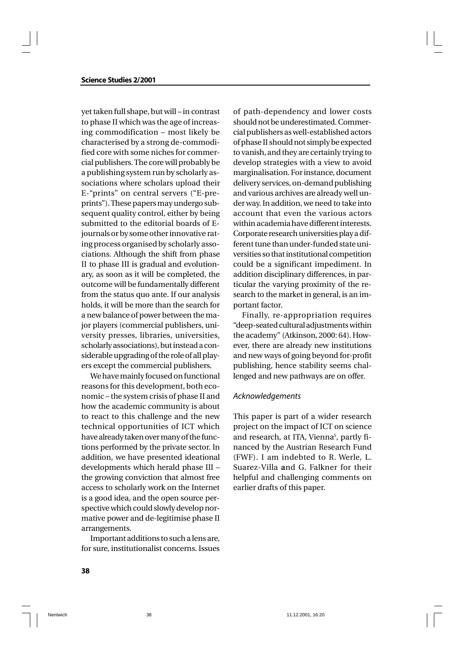yet taken full shape, but will – in contrast to phase II which was the age of increasing commodification – most likely be characterised by a strong de-commodified core with some niches for commercial publishers. The core will probably be a publishing system run by scholarly associations where scholars upload their E-"prints" on central servers ("E-preprints"). These papers may undergo subsequent quality control, either by being submitted to the editorial boards of Ejournals or by some other innovative rating process organised by scholarly associations. Although the shift from phase II to phase III is gradual and evolutionary, as soon as it will be completed, the outcome will be fundamentally different from the status quo ante. If our analysis holds, it will be more than the search for a new balance of power between the major players (commercial publishers, university presses, libraries, universities, scholarly associations), but instead a considerable upgrading of the role of all players except the commercial publishers.

We have mainly focused on functional reasons for this development, both economic – the system crisis of phase II and how the academic community is about to react to this challenge and the new technical opportunities of ICT which have already taken over many of the functions performed by the private sector. In addition, we have presented ideational developments which herald phase III – the growing conviction that almost free access to scholarly work on the Internet is a good idea, and the open source perspective which could slowly develop normative power and de-legitimise phase II arrangements.

Important additions to such a lens are, for sure, institutionalist concerns. Issues

of path-dependency and lower costs should not be underestimated. Commercial publishers as well-established actors of phase II should not simply be expected to vanish, and they are certainly trying to develop strategies with a view to avoid marginalisation. For instance, document delivery services, on-demand publishing and various archives are already well under way. In addition, we need to take into account that even the various actors within academia have different interests. Corporate research universities play a different tune than under-funded state universities so that institutional competition could be a significant impediment. In addition disciplinary differences, in particular the varying proximity of the research to the market in general, is an important factor.

Finally, re-appropriation requires "deep-seated cultural adjustments within the academy" (Atkinson, 2000: 64). However, there are already new institutions and new ways of going beyond for-profit publishing, hence stability seems challenged and new pathways are on offer.

### *Acknowledgements*

This paper is part of a wider research project on the impact of ICT on science and research, at ITA, Vienna<sup>5</sup>, partly financed by the Austrian Research Fund (FWF). I am indebted to R. Werle, L. Suarez-Villa **a**nd G. Falkner for their helpful and challenging comments on earlier drafts of this paper.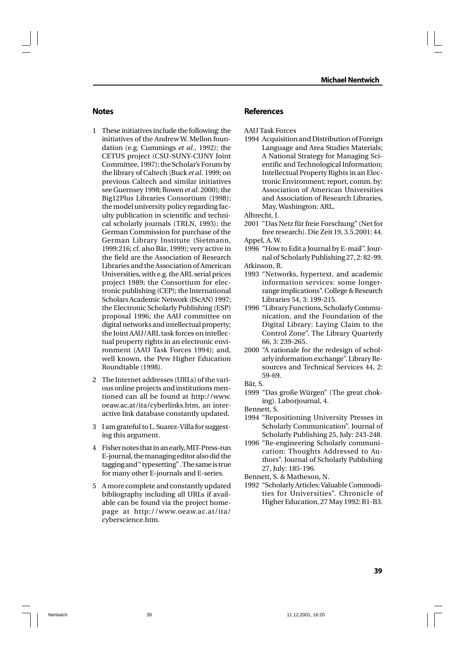#### **Notes**

- 1 These initiatives include the following: the initiatives of the Andrew W. Mellon foundation (e.g. Cummings *et al*., 1992); the CETUS project (CSU-SUNY-CUNY Joint Committee, 1997); the Scholar's Forum by the library of Caltech (Buck *et al*. 1999; on previous Caltech and similar initiatives see Guernsey 1998; Rowen *et al*. 2000); the Big12Plus Libraries Consortium (1998); the model university policy regarding faculty publication in scientific and technical scholarly journals (TRLN, 1993); the German Commission for purchase of the German Library Institute (Sietmann, 1999:216; cf. also Bär, 1999); very active in the field are the Association of Research Libraries and the Association of American Universities, with e.g. the ARL serial prices project 1989; the Consortium for electronic publishing (CEP); the International Scholars Academic Network (IScAN) 1997; the Electronic Scholarly Publishing (ESP) proposal 1996; the AAU committee on digital networks and intellectual property; the Joint AAU/ARL task forces on intellectual property rights in an electronic environment (AAU Task Forces 1994); and, well known, the Pew Higher Education Roundtable (1998).
- 2 The Internet addresses (URLs) of the various online projects and institutions mentioned can all be found at http://www. oeaw.ac.at/ita/cyberlinks.htm, an interactive link database constantly updated.
- 3 I am grateful to L. Suarez-Villa for suggesting this argument.
- 4 Fisher notes that in an early, MIT-Press-run E-journal, the managing editor also did the tagging and " typesetting" . The same is true for many other E-journals and E-series.
- 5 A more complete and constantly updated bibliography including all URLs if available can be found via the project homepage at http://www.oeaw.ac.at/ita/ cyberscience.htm.

#### **References**

- AAU Task Forces
- 1994 Acquisition and Distribution of Foreign Language and Area Studies Materials; A National Strategy for Managing Scientific and Technological Information; Intellectual Property Rights in an Electronic Environment; report, comm. by: Association of American Universities and Association of Research Libraries, May, Washington: ARL.

Albrecht, J.

- 2001 "Das Netz für freie Forschung" (Net for free research). Die Zeit 19, 3.5.2001: 44. Appel, A. W.
- 1996 "How to Edit a Journal by E-mail". Journal of Scholarly Publishing 27, 2: 82-99. Atkinson, R.
- 1993 "Networks, hypertext, and academic information services: some longerrange implications". College & Research Libraries 54, 3: 199-215.
- 1996 "Library Functions, Scholarly Communication, and the Foundation of the Digital Library: Laying Claim to the Control Zone". The Library Quarterly 66, 3: 239-265.
- 2000 "A rationale for the redesign of scholarly information exchange". Library Resources and Technical Services 44, 2: 59-69.
- Bär, S.
- 1999 "Das große Würgen" (The great choking). Laborjournal, 4.
- Bennett, S.
- 1994 "Repositioning University Presses in Scholarly Communication". Journal of Scholarly Publishing 25, July: 243-248.
- 1996 "Re-engineering Scholarly communication: Thoughts Addressed to Authors". Journal of Scholarly Publishing 27, July: 185-196.
- Bennett, S. & Matheson, N.
- 1992 "Scholarly Articles: Valuable Commodities for Universities". Chronicle of Higher Education, 27 May 1992: B1-B3.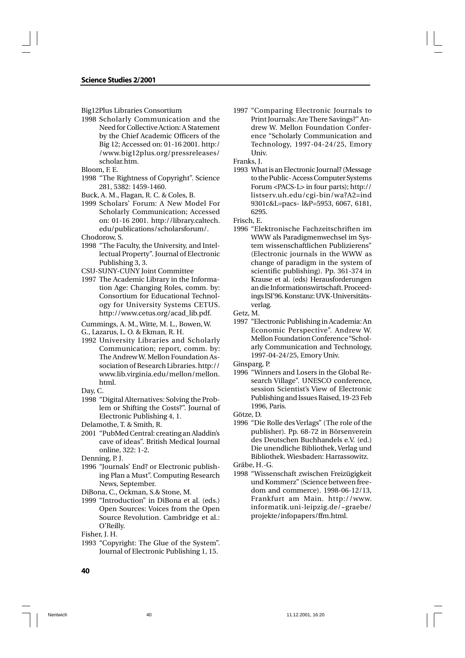#### **Science Studies 2/2001**

Big12Plus Libraries Consortium

1998 Scholarly Communication and the Need for Collective Action: A Statement by the Chief Academic Officers of the Big 12; Accessed on: 01-16 2001. http:/ /www.big12plus.org/pressreleases/ scholar.htm.

Bloom, F. E.

- 1998 "The Rightness of Copyright". Science 281, 5382: 1459-1460.
- Buck, A. M., Flagan, R. C. & Coles, B.
- 1999 Scholars' Forum: A New Model For Scholarly Communication; Accessed on: 01-16 2001. http://library.caltech. edu/publications/scholarsforum/. Chodorow, S.
- 
- 1998 "The Faculty, the University, and Intellectual Property". Journal of Electronic Publishing 3, 3.
- CSU-SUNY-CUNY Joint Committee
- 1997 The Academic Library in the Information Age: Changing Roles, comm. by: Consortium for Educational Technology for University Systems CETUS. http://www.cetus.org/acad\_lib.pdf.
- Cummings, A. M., Witte, M. L., Bowen, W.
- G., Lazarus, L. O. & Ekman, R. H.
- 1992 University Libraries and Scholarly Communication; report, comm. by: The Andrew W. Mellon Foundation Association of Research Libraries. http:// www.lib.virginia.edu/mellon/mellon. html.
- Day, C.
- 1998 "Digital Alternatives: Solving the Problem or Shifting the Costs?". Journal of Electronic Publishing 4, 1.
- Delamothe, T. & Smith, R.
- 2001 "PubMed Central: creating an Aladdin's cave of ideas". British Medical Journal online, 322: 1-2.
- Denning, P. J.
- 1996 "Journals' End? or Electronic publishing Plan a Must". Computing Research News, September.
- DiBona, C., Ockman, S.& Stone, M.
- 1999 "Introduction" in DiBona et al. (eds.) Open Sources: Voices from the Open Source Revolution. Cambridge et al.: O'Reilly.
- Fisher, J. H.
- 1993 "Copyright: The Glue of the System". Journal of Electronic Publishing 1, 15.

1997 "Comparing Electronic Journals to Print Journals: Are There Savings?" Andrew W. Mellon Foundation Conference "Scholarly Communication and Technology, 1997-04-24/25, Emory Univ.

Franks, J.

1993 What is an Electronic Journal? (Message to the Public- Access Computer Systems Forum <PACS-L> in four parts); http:// listserv.uh.edu/cgi-bin/wa?A2=ind 9301c&L=pacs- l&P=5953, 6067, 6181, 6295.

Frisch, E.

- 1996 "Elektronische Fachzeitschriften im WWW als Paradigmenwechsel im System wissenschaftlichen Publizierens" (Electronic journals in the WWW as change of paradigm in the system of scientific publishing). Pp. 361-374 in Krause et al. (eds) Herausforderungen an die Informationswirtschaft. Proceedings ISI'96. Konstanz: UVK-Universitätsverlag.
- Getz, M.
- 1997 "Electronic Publishing in Academia: An Economic Perspective". Andrew W. Mellon Foundation Conference "Scholarly Communication and Technology, 1997-04-24/25, Emory Univ.
- Ginsparg, P.
- 1996 "Winners and Losers in the Global Research Village". UNESCO conference, session Scientist's View of Electronic Publishing and Issues Raised, 19-23 Feb 1996, Paris.
- Götze, D.
- 1996 "Die Rolle des Verlags" (The role of the publisher). Pp. 68-72 in Börsenverein des Deutschen Buchhandels e.V. (ed.) Die unendliche Bibliothek, Verlag und Bibliothek. Wiesbaden: Harrassowitz. Gräbe, H.-G.

1998 "Wissenschaft zwischen Freizügigkeit

und Kommerz" (Science between freedom and commerce). 1998-06-12/13, Frankfurt am Main. http://www. informatik.uni-leipzig.de/~graebe/ projekte/infopapers/ffm.html.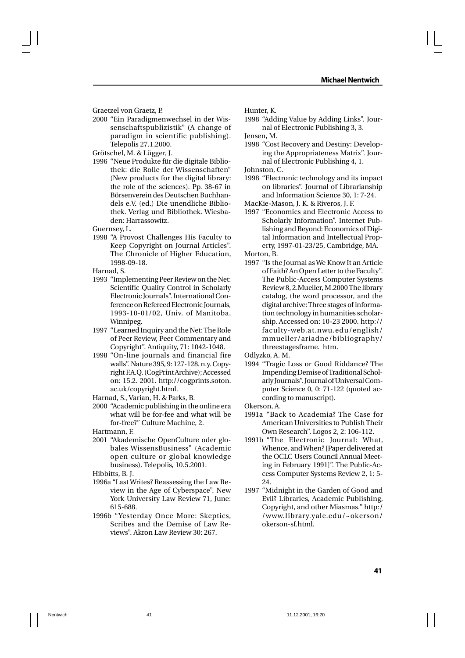Graetzel von Graetz, P.

2000 "Ein Paradigmenwechsel in der Wissenschaftspublizistik" (A change of paradigm in scientific publishing). Telepolis 27.1.2000.

Grötschel, M. & Lügger, J.

1996 "Neue Produkte für die digitale Bibliothek: die Rolle der Wissenschaften" (New products for the digital library: the role of the sciences). Pp. 38-67 in Börsenverein des Deutschen Buchhandels e.V. (ed.) Die unendliche Bibliothek. Verlag und Bibliothek. Wiesbaden: Harrassowitz.

Guernsey, L.

1998 "A Provost Challenges His Faculty to Keep Copyright on Journal Articles". The Chronicle of Higher Education, 1998-09-18.

Harnad, S.

- 1993 "Implementing Peer Review on the Net: Scientific Quality Control in Scholarly Electronic Journals". International Conference on Refereed Electronic Journals, 1993-10-01/02, Univ. of Manitoba, Winnipeg.
- 1997 "Learned Inquiry and the Net: The Role of Peer Review, Peer Commentary and Copyright". Antiquity, 71: 1042-1048.
- 1998 "On-line journals and financial fire walls". Nature 395, 9: 127-128. n.y. Copyright F.A.Q. (CogPrint Archive); Accessed on: 15.2. 2001. http://cogprints.soton. ac.uk/copyright.html.
- Harnad, S., Varian, H. & Parks, B.
- 2000 "Academic publishing in the online era what will be for-fee and what will be for-free?" Culture Machine, 2.

Hartmann, F.

2001 "Akademische OpenCulture oder globales WissensBusiness" (Academic open culture or global knowledge business). Telepolis, 10.5.2001.

Hibbitts, B. J.

- 1996a "Last Writes? Reassessing the Law Review in the Age of Cyberspace". New York University Law Review 71, June: 615-688.
- 1996b "Yesterday Once More: Skeptics, Scribes and the Demise of Law Reviews". Akron Law Review 30: 267.

Hunter, K.

1998 "Adding Value by Adding Links". Journal of Electronic Publishing 3, 3.

Jensen, M.

1998 "Cost Recovery and Destiny: Developing the Appropriateness Matrix". Journal of Electronic Publishing 4, 1.

Johnston, C.

1998 "Electronic technology and its impact on libraries". Journal of Librarianship and Information Science 30, 1: 7-24.

MacKie-Mason, J. K. & Riveros, J. F.

1997 "Economics and Electronic Access to Scholarly Information". Internet Publishing and Beyond: Economics of Digital Information and Intellectual Property, 1997-01-23/25, Cambridge, MA.

Morton, B.

1997 "Is the Journal as We Know It an Article of Faith? An Open Letter to the Faculty". The Public-Access Computer Systems Review 8, 2.Mueller, M.2000 The library catalog, the word processor, and the digital archive: Three stages of information technology in humanities scholarship. Accessed on: 10-23 2000. http:// faculty-web.at.nwu.edu/english/ mmueller/ariadne/bibliography/ threestagesframe. htm.

Odlyzko, A. M.

1994 "Tragic Loss or Good Riddance? The Impending Demise of Traditional Scholarly Journals". Journal of Universal Computer Science 0, 0: 71-122 (quoted according to manuscript).

Okerson, A.

- 1991a "Back to Academia? The Case for American Universities to Publish Their Own Research". Logos 2, 2: 106-112.
- 1991b "The Electronic Journal: What, Whence, and When? [Paper delivered at the OCLC Users Council Annual Meeting in February 1991]". The Public-Access Computer Systems Review 2, 1: 5- 24.
- 1997 "Midnight in the Garden of Good and Evil? Libraries, Academic Publishing, Copyright, and other Miasmas." http:/ /www.library.yale.edu/~okerson/ okerson-sf.html.